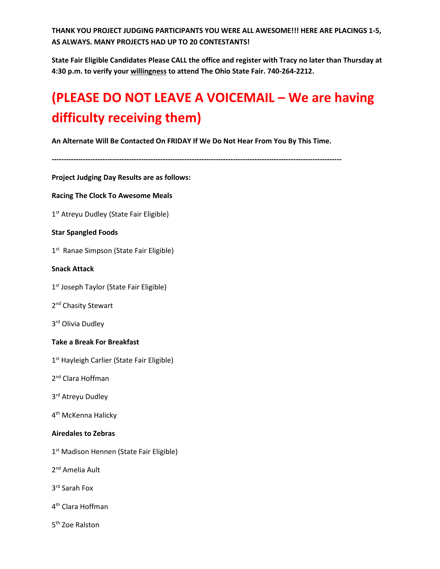**THANK YOU PROJECT JUDGING PARTICIPANTS YOU WERE ALL AWESOME!!! HERE ARE PLACINGS 1-5, AS ALWAYS. MANY PROJECTS HAD UP TO 20 CONTESTANTS!** 

**State Fair Eligible Candidates Please CALL the office and register with Tracy no later than Thursday at 4:30 p.m. to verify your willingness to attend The Ohio State Fair. 740-264-2212.** 

# **(PLEASE DO NOT LEAVE A VOICEMAIL – We are having difficulty receiving them)**

**An Alternate Will Be Contacted On FRIDAY If We Do Not Hear From You By This Time.** 

**------------------------------------------------------------------------------------------------------------------------ Project Judging Day Results are as follows: Racing The Clock To Awesome Meals** 1<sup>st</sup> Atreyu Dudley (State Fair Eligible) **Star Spangled Foods** 1<sup>st</sup> Ranae Simpson (State Fair Eligible) **Snack Attack** 1<sup>st</sup> Joseph Taylor (State Fair Eligible) 2<sup>nd</sup> Chasity Stewart 3rd Olivia Dudley **Take a Break For Breakfast** 1<sup>st</sup> Hayleigh Carlier (State Fair Eligible) 2nd Clara Hoffman 3rd Atreyu Dudley 4<sup>th</sup> McKenna Halicky **Airedales to Zebras** 1<sup>st</sup> Madison Hennen (State Fair Eligible) 2<sup>nd</sup> Amelia Ault 3rd Sarah Fox

- 4th Clara Hoffman
- 5th Zoe Ralston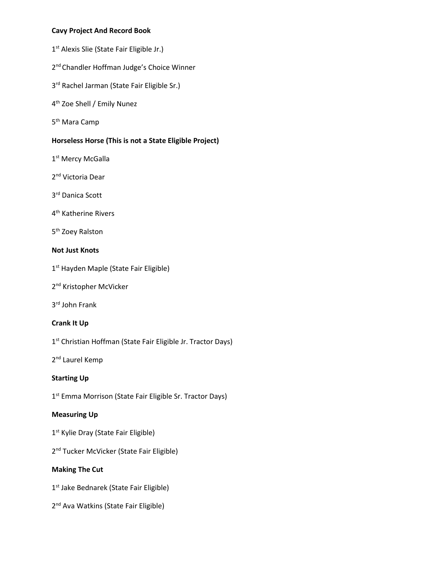# **Cavy Project And Record Book**

- 1<sup>st</sup> Alexis Slie (State Fair Eligible Jr.)
- 2<sup>nd</sup> Chandler Hoffman Judge's Choice Winner
- 3<sup>rd</sup> Rachel Jarman (State Fair Eligible Sr.)
- 4th Zoe Shell / Emily Nunez
- 5<sup>th</sup> Mara Camp

# **Horseless Horse (This is not a State Eligible Project)**

- 1<sup>st</sup> Mercy McGalla
- 2<sup>nd</sup> Victoria Dear
- 3rd Danica Scott
- 4<sup>th</sup> Katherine Rivers
- 5<sup>th</sup> Zoey Ralston

# **Not Just Knots**

- 1<sup>st</sup> Hayden Maple (State Fair Eligible)
- 2<sup>nd</sup> Kristopher McVicker
- 3rd John Frank

# **Crank It Up**

1<sup>st</sup> Christian Hoffman (State Fair Eligible Jr. Tractor Days)

2<sup>nd</sup> Laurel Kemp

# **Starting Up**

1<sup>st</sup> Emma Morrison (State Fair Eligible Sr. Tractor Days)

# **Measuring Up**

- 1<sup>st</sup> Kylie Dray (State Fair Eligible)
- 2<sup>nd</sup> Tucker McVicker (State Fair Eligible)

# **Making The Cut**

- 1<sup>st</sup> Jake Bednarek (State Fair Eligible)
- 2<sup>nd</sup> Ava Watkins (State Fair Eligible)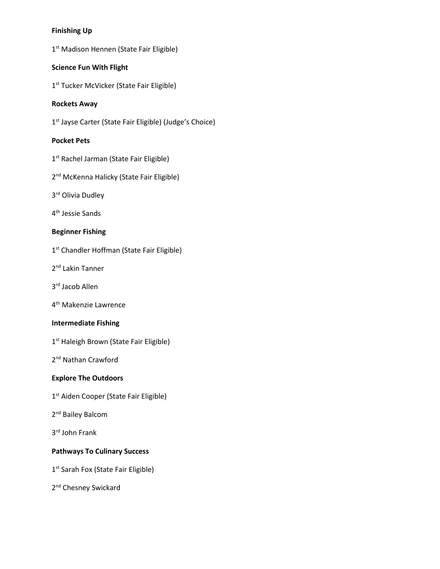# **Finishing Up**

1<sup>st</sup> Madison Hennen (State Fair Eligible)

# **Science Fun With Flight**

1<sup>st</sup> Tucker McVicker (State Fair Eligible)

# **Rockets Away**

1<sup>st</sup> Jayse Carter (State Fair Eligible) (Judge's Choice)

# **Pocket Pets**

- 1<sup>st</sup> Rachel Jarman (State Fair Eligible)
- 2<sup>nd</sup> McKenna Halicky (State Fair Eligible)
- 3rd Olivia Dudley
- 4th Jessie Sands

# **Beginner Fishing**

- 1<sup>st</sup> Chandler Hoffman (State Fair Eligible)
- 2<sup>nd</sup> Lakin Tanner
- 3rd Jacob Allen
- 4th Makenzie Lawrence

# **Intermediate Fishing**

1<sup>st</sup> Haleigh Brown (State Fair Eligible)

2<sup>nd</sup> Nathan Crawford

# **Explore The Outdoors**

- 1<sup>st</sup> Aiden Cooper (State Fair Eligible)
- 2<sup>nd</sup> Bailey Balcom
- 3rd John Frank

# **Pathways To Culinary Success**

1<sup>st</sup> Sarah Fox (State Fair Eligible)

2<sup>nd</sup> Chesney Swickard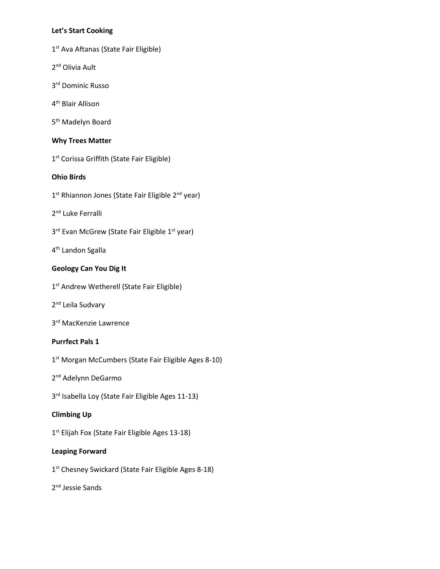# **Let's Start Cooking**

- 1<sup>st</sup> Ava Aftanas (State Fair Eligible)
- 2<sup>nd</sup> Olivia Ault
- 3rd Dominic Russo
- 4th Blair Allison
- 5<sup>th</sup> Madelyn Board

# **Why Trees Matter**

1<sup>st</sup> Corissa Griffith (State Fair Eligible)

# **Ohio Birds**

- 1<sup>st</sup> Rhiannon Jones (State Fair Eligible 2<sup>nd</sup> year)
- 2<sup>nd</sup> Luke Ferralli
- 3<sup>rd</sup> Evan McGrew (State Fair Eligible 1<sup>st</sup> year)
- 4th Landon Sgalla

# **Geology Can You Dig It**

- 1<sup>st</sup> Andrew Wetherell (State Fair Eligible)
- 2<sup>nd</sup> Leila Sudvary
- 3rd MacKenzie Lawrence

# **Purrfect Pals 1**

- 1<sup>st</sup> Morgan McCumbers (State Fair Eligible Ages 8-10)
- 2<sup>nd</sup> Adelynn DeGarmo
- 3<sup>rd</sup> Isabella Loy (State Fair Eligible Ages 11-13)

# **Climbing Up**

1<sup>st</sup> Elijah Fox (State Fair Eligible Ages 13-18)

# **Leaping Forward**

- 1<sup>st</sup> Chesney Swickard (State Fair Eligible Ages 8-18)
- 2nd Jessie Sands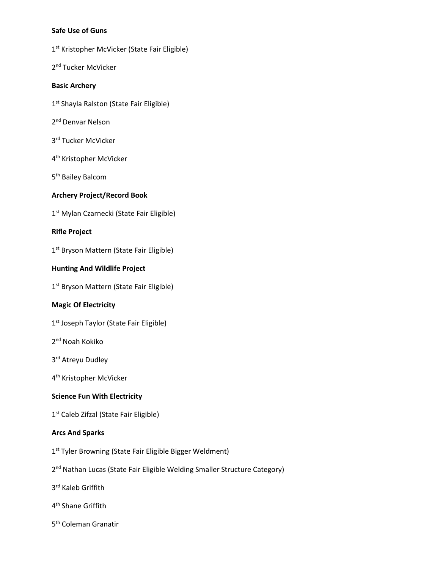# **Safe Use of Guns**

- 1<sup>st</sup> Kristopher McVicker (State Fair Eligible)
- 2<sup>nd</sup> Tucker McVicker

#### **Basic Archery**

- 1<sup>st</sup> Shayla Ralston (State Fair Eligible)
- 2<sup>nd</sup> Denvar Nelson
- 3rd Tucker McVicker
- 4<sup>th</sup> Kristopher McVicker
- 5<sup>th</sup> Bailey Balcom

# **Archery Project/Record Book**

1<sup>st</sup> Mylan Czarnecki (State Fair Eligible)

#### **Rifle Project**

1<sup>st</sup> Bryson Mattern (State Fair Eligible)

## **Hunting And Wildlife Project**

1<sup>st</sup> Bryson Mattern (State Fair Eligible)

# **Magic Of Electricity**

- 1<sup>st</sup> Joseph Taylor (State Fair Eligible)
- 2nd Noah Kokiko
- 3<sup>rd</sup> Atreyu Dudley
- 4th Kristopher McVicker

# **Science Fun With Electricity**

1<sup>st</sup> Caleb Zifzal (State Fair Eligible)

#### **Arcs And Sparks**

- 1<sup>st</sup> Tyler Browning (State Fair Eligible Bigger Weldment)
- 2<sup>nd</sup> Nathan Lucas (State Fair Eligible Welding Smaller Structure Category)
- 3rd Kaleb Griffith
- 4th Shane Griffith
- 5th Coleman Granatir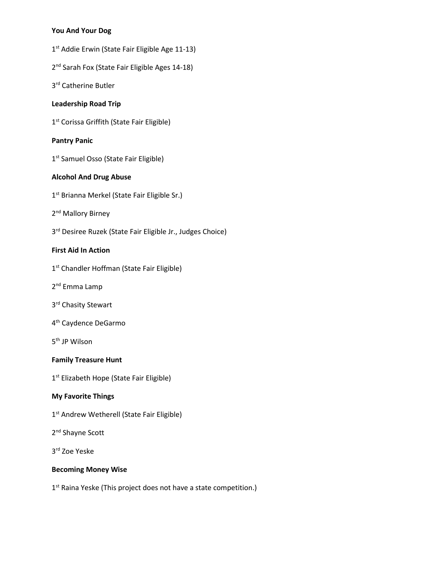# **You And Your Dog**

- 1<sup>st</sup> Addie Erwin (State Fair Eligible Age 11-13)
- 2<sup>nd</sup> Sarah Fox (State Fair Eligible Ages 14-18)

3rd Catherine Butler

# **Leadership Road Trip**

1<sup>st</sup> Corissa Griffith (State Fair Eligible)

# **Pantry Panic**

1<sup>st</sup> Samuel Osso (State Fair Eligible)

# **Alcohol And Drug Abuse**

- 1<sup>st</sup> Brianna Merkel (State Fair Eligible Sr.)
- 2<sup>nd</sup> Mallory Birney
- 3rd Desiree Ruzek (State Fair Eligible Jr., Judges Choice)

# **First Aid In Action**

- 1<sup>st</sup> Chandler Hoffman (State Fair Eligible)
- 2nd Emma Lamp
- 3rd Chasity Stewart
- 4th Caydence DeGarmo
- 5th JP Wilson

# **Family Treasure Hunt**

1<sup>st</sup> Elizabeth Hope (State Fair Eligible)

# **My Favorite Things**

- 1<sup>st</sup> Andrew Wetherell (State Fair Eligible)
- 2<sup>nd</sup> Shayne Scott
- 3rd Zoe Yeske

# **Becoming Money Wise**

1<sup>st</sup> Raina Yeske (This project does not have a state competition.)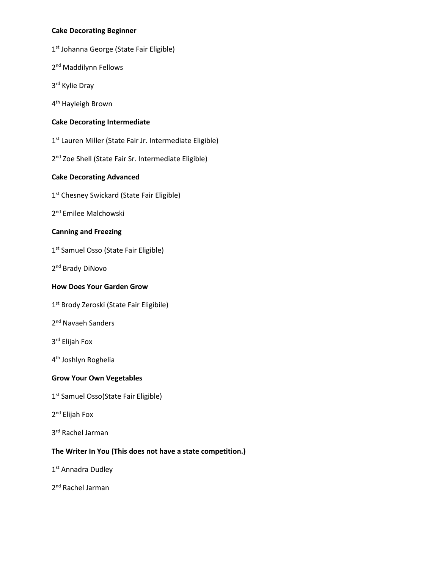# **Cake Decorating Beginner**

- 1<sup>st</sup> Johanna George (State Fair Eligible)
- 2<sup>nd</sup> Maddilynn Fellows
- 3rd Kylie Dray
- 4th Hayleigh Brown

# **Cake Decorating Intermediate**

- 1<sup>st</sup> Lauren Miller (State Fair Jr. Intermediate Eligible)
- 2<sup>nd</sup> Zoe Shell (State Fair Sr. Intermediate Eligible)

# **Cake Decorating Advanced**

- 1<sup>st</sup> Chesney Swickard (State Fair Eligible)
- 2<sup>nd</sup> Emilee Malchowski

# **Canning and Freezing**

- 1<sup>st</sup> Samuel Osso (State Fair Eligible)
- 2<sup>nd</sup> Brady DiNovo

# **How Does Your Garden Grow**

- 1<sup>st</sup> Brody Zeroski (State Fair Eligibile)
- 2<sup>nd</sup> Navaeh Sanders
- 3rd Elijah Fox
- 4th Joshlyn Roghelia

# **Grow Your Own Vegetables**

- 1<sup>st</sup> Samuel Osso(State Fair Eligible)
- 2nd Elijah Fox
- 3rd Rachel Jarman

# **The Writer In You (This does not have a state competition.)**

- 1<sup>st</sup> Annadra Dudley
- 2<sup>nd</sup> Rachel Jarman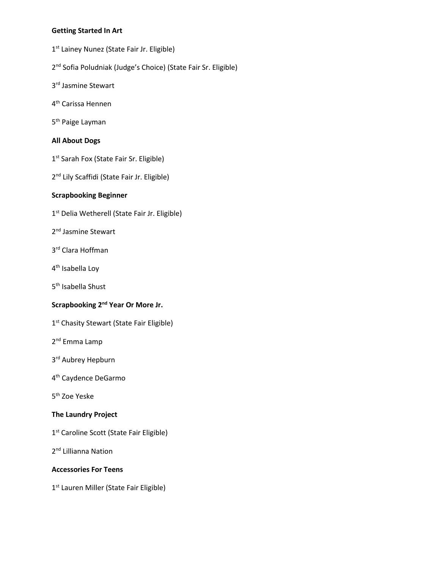# **Getting Started In Art**

- 1<sup>st</sup> Lainey Nunez (State Fair Jr. Eligible)
- 2<sup>nd</sup> Sofia Poludniak (Judge's Choice) (State Fair Sr. Eligible)
- 3rd Jasmine Stewart
- 4th Carissa Hennen
- 5<sup>th</sup> Paige Layman

# **All About Dogs**

- 1<sup>st</sup> Sarah Fox (State Fair Sr. Eligible)
- 2<sup>nd</sup> Lily Scaffidi (State Fair Jr. Eligible)

# **Scrapbooking Beginner**

- 1<sup>st</sup> Delia Wetherell (State Fair Jr. Eligible)
- 2<sup>nd</sup> Jasmine Stewart
- 3rd Clara Hoffman
- 4<sup>th</sup> Isabella Loy
- 5<sup>th</sup> Isabella Shust

# **Scrapbooking 2nd Year Or More Jr.**

- 1<sup>st</sup> Chasity Stewart (State Fair Eligible)
- 2nd Emma Lamp
- 3rd Aubrey Hepburn
- 4th Caydence DeGarmo
- 5th Zoe Yeske

# **The Laundry Project**

- 1<sup>st</sup> Caroline Scott (State Fair Eligible)
- 2<sup>nd</sup> Lillianna Nation

# **Accessories For Teens**

1<sup>st</sup> Lauren Miller (State Fair Eligible)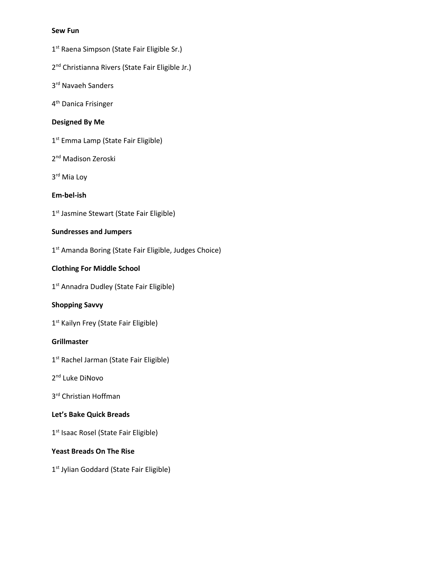#### **Sew Fun**

- 1<sup>st</sup> Raena Simpson (State Fair Eligible Sr.)
- 2<sup>nd</sup> Christianna Rivers (State Fair Eligible Jr.)
- 3rd Navaeh Sanders
- 4th Danica Frisinger

# **Designed By Me**

- 1<sup>st</sup> Emma Lamp (State Fair Eligible)
- 2<sup>nd</sup> Madison Zeroski
- 3rd Mia Loy

# **Em-bel-ish**

1<sup>st</sup> Jasmine Stewart (State Fair Eligible)

# **Sundresses and Jumpers**

1<sup>st</sup> Amanda Boring (State Fair Eligible, Judges Choice)

# **Clothing For Middle School**

1<sup>st</sup> Annadra Dudley (State Fair Eligible)

# **Shopping Savvy**

1<sup>st</sup> Kailyn Frey (State Fair Eligible)

# **Grillmaster**

- 1<sup>st</sup> Rachel Jarman (State Fair Eligible)
- 2<sup>nd</sup> Luke DiNovo
- 3<sup>rd</sup> Christian Hoffman

# **Let's Bake Quick Breads**

1<sup>st</sup> Isaac Rosel (State Fair Eligible)

# **Yeast Breads On The Rise**

1<sup>st</sup> Jylian Goddard (State Fair Eligible)